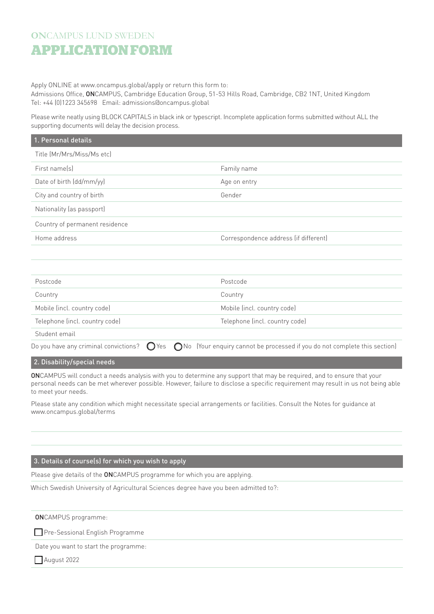## **ON**CAMPUS LUND SWEDEN **APPLICATIONFORM**

Apply ONLINE at www.oncampus.global/apply or return this form to:

Admissions Office, ONCAMPUS, Cambridge Education Group, 51-53 Hills Road, Cambridge, CB2 1NT, United Kingdom Tel: +44 (0)1223 345698 Email: admissions@oncampus.global

Please write neatly using BLOCK CAPITALS in black ink or typescript. Incomplete application forms submitted without ALL the supporting documents will delay the decision process.

| 1. Personal details            |                                       |
|--------------------------------|---------------------------------------|
| Title (Mr/Mrs/Miss/Ms etc)     |                                       |
| First name(s)                  | Family name                           |
| Date of birth (dd/mm/yy)       | Age on entry                          |
| City and country of birth      | Gender                                |
| Nationality (as passport)      |                                       |
| Country of permanent residence |                                       |
| Home address                   | Correspondence address (if different) |
|                                |                                       |
|                                |                                       |
| Postcode                       | Postcode                              |
| Country                        | Country                               |
| Mobile (incl. country code)    | Mobile (incl. country code)           |
| Telephone (incl. country code) | Telephone (incl. country code)        |
|                                |                                       |

Student email

Do you have any criminal convictions?  $\bigcirc$  Yes  $\bigcirc$  No (Your enquiry cannot be processed if you do not complete this section)

## 2. Disability/special needs

ONCAMPUS will conduct a needs analysis with you to determine any support that may be required, and to ensure that your personal needs can be met wherever possible. However, failure to disclose a specific requirement may result in us not being able to meet your needs.

Please state any condition which might necessitate special arrangements or facilities. Consult the Notes for guidance at www.oncampus.global/terms

## 3. Details of course(s) for which you wish to apply

Please give details of the ONCAMPUS programme for which you are applying.

Which Swedish University of Agricultural Sciences degree have you been admitted to?:

ONCAMPUS programme:

**Pre-Sessional English Programme** 

Date you want to start the programme:

August 2022